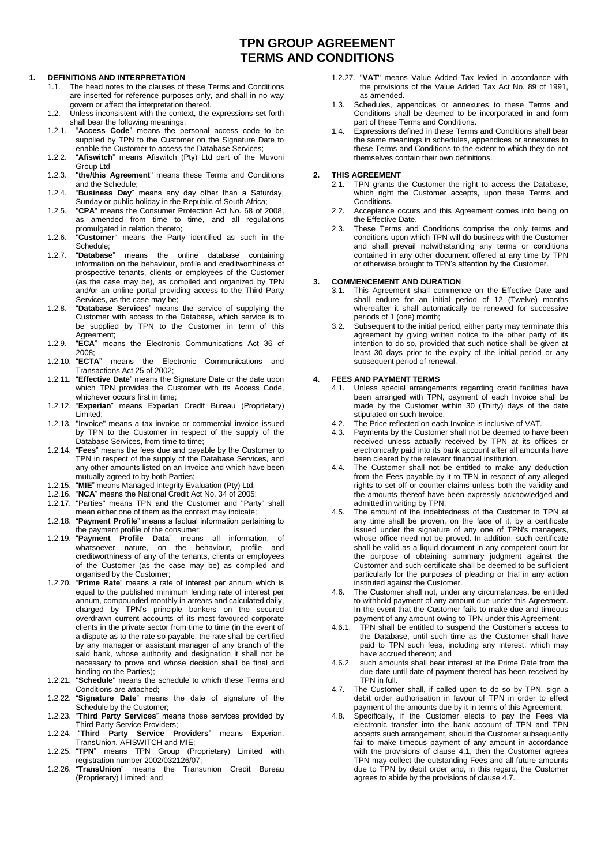# **TPN GROUP AGREEMENT TERMS AND CONDITIONS**

### **1. DEFINITIONS AND INTERPRETATION**

- 1.1. The head notes to the clauses of these Terms and Conditions are inserted for reference purposes only, and shall in no way govern or affect the interpretation thereof.
- 1.2. Unless inconsistent with the context, the expressions set forth shall bear the following meanings:
- 1.2.1. "**Access Code**" means the personal access code to be supplied by TPN to the Customer on the Signature Date to enable the Customer to access the Database Services;
- 1.2.2. "**Afiswitch**" means Afiswitch (Pty) Ltd part of the Muvoni Group Ltd
- 1.2.3. "**the/this Agreement**" means these Terms and Conditions and the Schedule;
- 1.2.4. "**Business Day**" means any day other than a Saturday, Sunday or public holiday in the Republic of South Africa;
- 1.2.5. "**CPA**" means the Consumer Protection Act No. 68 of 2008, as amended from time to time, and all regulations promulgated in relation thereto;
- 1.2.6. "**Customer**" means the Party identified as such in the Schedule;<br>"Database"
- 1.2.7. "**Database**" means the online database containing information on the behaviour, profile and creditworthiness of prospective tenants, clients or employees of the Customer (as the case may be), as compiled and organized by TPN and/or an online portal providing access to the Third Party Services, as the case may be;
- 1.2.8. "**Database Services**" means the service of supplying the Customer with access to the Database, which service is to be supplied by TPN to the Customer in term of this Agreement;
- 1.2.9. "**ECA**" means the Electronic Communications Act 36 of 2008;
- 1.2.10. "**ECTA**" means the Electronic Communications and Transactions Act 25 of 2002;
- 1.2.11. "**Effective Date**" means the Signature Date or the date upon which TPN provides the Customer with its Access Code, whichever occurs first in time;
- 1.2.12. "**Experian**" means Experian Credit Bureau (Proprietary) Limited;
- 1.2.13. "Invoice" means a tax invoice or commercial invoice issued by TPN to the Customer in respect of the supply of the Database Services, from time to time;
- 1.2.14. "**Fees**" means the fees due and payable by the Customer to TPN in respect of the supply of the Database Services, and any other amounts listed on an Invoice and which have been mutually agreed to by both Parties;
- 1.2.15. "**MIE**" means Managed Integrity Evaluation (Pty) Ltd;
- 1.2.16. "**NCA**" means the National Credit Act No. 34 of 2005;
- 1.2.17. "Parties" means TPN and the Customer and "Party" shall mean either one of them as the context may indicate;
- 1.2.18. "**Payment Profile**" means a factual information pertaining to the payment profile of the consumer;
- 1.2.19. "**Payment Profile Data**" means all information, of whatsoever nature, on the behaviour, profile and creditworthiness of any of the tenants, clients or employees of the Customer (as the case may be) as compiled and organised by the Customer;
- 1.2.20. "**Prime Rate**" means a rate of interest per annum which is equal to the published minimum lending rate of interest per annum, compounded monthly in arrears and calculated daily, charged by TPN's principle bankers on the secured overdrawn current accounts of its most favoured corporate clients in the private sector from time to time (in the event of a dispute as to the rate so payable, the rate shall be certified by any manager or assistant manager of any branch of the said bank, whose authority and designation it shall not be necessary to prove and whose decision shall be final and binding on the Parties);
- 1.2.21. "**Schedule**" means the schedule to which these Terms and Conditions are attached;
- 1.2.22. "**Signature Date**" means the date of signature of the Schedule by the Customer;
- 1.2.23. "**Third Party Services**" means those services provided by Third Party Service Providers;
- 1.2.24. "**Third Party Service Providers**" means Experian, TransUnion, AFISWITCH and MIE;
- 1.2.25. "**TPN**" means TPN Group (Proprietary) Limited with registration number 2002/032126/07;
- 1.2.26. "**TransUnion**" means the Transunion Credit Bureau (Proprietary) Limited; and
- 1.2.27. "**VAT**" means Value Added Tax levied in accordance with the provisions of the Value Added Tax Act No. 89 of 1991, as amended.
- 1.3. Schedules, appendices or annexures to these Terms and Conditions shall be deemed to be incorporated in and form part of these Terms and Conditions.
- 1.4. Expressions defined in these Terms and Conditions shall bear the same meanings in schedules, appendices or annexures to these Terms and Conditions to the extent to which they do not themselves contain their own definitions.

# **2. THIS AGREEMENT**

- TPN grants the Customer the right to access the Database, which right the Customer accepts, upon these Terms and Conditions.
- 2.2. Acceptance occurs and this Agreement comes into being on the Effective Date.
- 2.3. These Terms and Conditions comprise the only terms and conditions upon which TPN will do business with the Customer and shall prevail notwithstanding any terms or conditions contained in any other document offered at any time by TPN or otherwise brought to TPN's attention by the Customer.

#### **3. COMMENCEMENT AND DURATION**

- 3.1. This Agreement shall commence on the Effective Date and shall endure for an initial period of 12 (Twelve) months whereafter it shall automatically be renewed for successive periods of 1 (one) month;
- 3.2. Subsequent to the initial period, either party may terminate this agreement by giving written notice to the other party of its intention to do so, provided that such notice shall be given at least 30 days prior to the expiry of the initial period or any subsequent period of renewal.

# <span id="page-0-0"></span>**4. FEES AND PAYMENT TERMS**

- 4.1. Unless special arrangements regarding credit facilities have been arranged with TPN, payment of each Invoice shall be made by the Customer within 30 (Thirty) days of the date stipulated on such Invoice.
- 4.2. The Price reflected on each Invoice is inclusive of VAT.
- Payments by the Customer shall not be deemed to have been received unless actually received by TPN at its offices or electronically paid into its bank account after all amounts have been cleared by the relevant financial institution.
- 4.4. The Customer shall not be entitled to make any deduction from the Fees payable by it to TPN in respect of any alleged rights to set off or counter-claims unless both the validity and the amounts thereof have been expressly acknowledged and admitted in writing by TPN.
- 4.5. The amount of the indebtedness of the Customer to TPN at any time shall be proven, on the face of it, by a certificate issued under the signature of any one of TPN's managers, whose office need not be proved. In addition, such certificate shall be valid as a liquid document in any competent court for the purpose of obtaining summary judgment against the Customer and such certificate shall be deemed to be sufficient particularly for the purposes of pleading or trial in any action instituted against the Customer.
- 4.6. The Customer shall not, under any circumstances, be entitled to withhold payment of any amount due under this Agreement. In the event that the Customer fails to make due and timeous payment of any amount owing to TPN under this Agreement:
- 4.6.1. TPN shall be entitled to suspend the Customer's access to the Database, until such time as the Customer shall have paid to TPN such fees, including any interest, which may have accrued thereon; and
- 4.6.2. such amounts shall bear interest at the Prime Rate from the due date until date of payment thereof has been received by TPN in full.
- <span id="page-0-1"></span>4.7. The Customer shall, if called upon to do so by TPN, sign a debit order authorisation in favour of TPN in order to effect payment of the amounts due by it in terms of this Agreement.
- 4.8. Specifically, if the Customer elects to pay the Fees via electronic transfer into the bank account of TPN and TPN accepts such arrangement, should the Customer subsequently fail to make timeous payment of any amount in accordance with the provisions of clause [4.1,](#page-0-0) then the Customer agrees TPN may collect the outstanding Fees and all future amounts due to TPN by debit order and, in this regard, the Customer agrees to abide by the provisions of claus[e 4.7.](#page-0-1)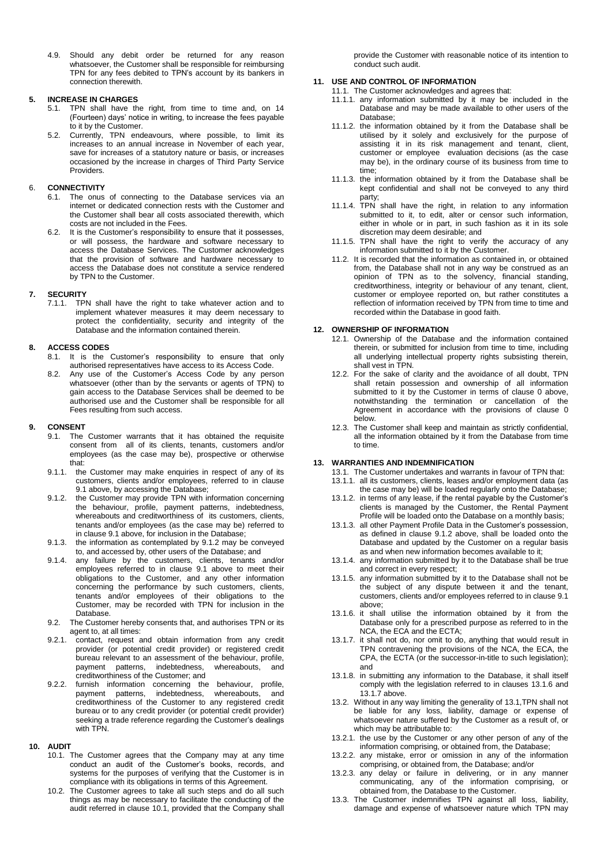4.9. Should any debit order be returned for any reason whatsoever, the Customer shall be responsible for reimbursing TPN for any fees debited to TPN's account by its bankers in connection therewith.

#### **5. INCREASE IN CHARGES**

- 5.1. TPN shall have the right, from time to time and, on 14 (Fourteen) days' notice in writing, to increase the fees payable to it by the Customer.
- 5.2. Currently, TPN endeavours, where possible, to limit its increases to an annual increase in November of each year, save for increases of a statutory nature or basis, or increases occasioned by the increase in charges of Third Party Service Providers.

### 6. **CONNECTIVITY**

- 6.1. The onus of connecting to the Database services via an internet or dedicated connection rests with the Customer and the Customer shall bear all costs associated therewith, which costs are not included in the Fees.
- 6.2. It is the Customer's responsibility to ensure that it possesses, or will possess, the hardware and software necessary to access the Database Services. The Customer acknowledges that the provision of software and hardware necessary to access the Database does not constitute a service rendered by TPN to the Customer.

# **7. SECURITY**

7.1.1. TPN shall have the right to take whatever action and to implement whatever measures it may deem necessary to protect the confidentiality, security and integrity of the Database and the information contained therein.

# **8. ACCESS CODES**

- 8.1. It is the Customer's responsibility to ensure that only authorised representatives have access to its Access Code.
- 8.2. Any use of the Customer's Access Code by any person whatsoever (other than by the servants or agents of TPN) to gain access to the Database Services shall be deemed to be authorised use and the Customer shall be responsible for all Fees resulting from such access.

# <span id="page-1-0"></span>**9. CONSENT**

- 9.1. The Customer warrants that it has obtained the requisite consent from all of its clients, tenants, customers and/or employees (as the case may be), prospective or otherwise that:
- 9.1.1. the Customer may make enquiries in respect of any of its customers, clients and/or employees, referred to in clause [9.1](#page-1-0) above, by accessing the Database;
- <span id="page-1-1"></span>9.1.2. the Customer may provide TPN with information concerning the behaviour, profile, payment patterns, indebtedness, whereabouts and creditworthiness of its customers, clients, tenants and/or employees (as the case may be) referred to in claus[e 9.1](#page-1-0) above, for inclusion in the Database;
- 9.1.3. the information as contemplated by [9.1.2](#page-1-1) may be conveyed to, and accessed by, other users of the Database; and
- 9.1.4. any failure by the customers, clients, tenants and/or employees referred to in clause [9.1](#page-1-0) above to meet their obligations to the Customer, and any other information concerning the performance by such customers, clients, tenants and/or employees of their obligations to the Customer, may be recorded with TPN for inclusion in the Database.
- 9.2. The Customer hereby consents that, and authorises TPN or its agent to, at all times:
- 9.2.1. contact, request and obtain information from any credit provider (or potential credit provider) or registered credit bureau relevant to an assessment of the behaviour, profile, payment patterns, indebtedness, whereabouts, and creditworthiness of the Customer; and
- 9.2.2. furnish information concerning the behaviour, profile, payment patterns, indebtedness, whereabouts, and creditworthiness of the Customer to any registered credit bureau or to any credit provider (or potential credit provider) seeking a trade reference regarding the Customer's dealings with TPN.

#### <span id="page-1-2"></span>**10. AUDIT**

- 10.1. The Customer agrees that the Company may at any time conduct an audit of the Customer's books, records, and systems for the purposes of verifying that the Customer is in compliance with its obligations in terms of this Agreement.
- 10.2. The Customer agrees to take all such steps and do all such things as may be necessary to facilitate the conducting of the audit referred in clause [10.1,](#page-1-2) provided that the Company shall

provide the Customer with reasonable notice of its intention to conduct such audit.

# **11. USE AND CONTROL OF INFORMATION**

- 11.1. The Customer acknowledges and agrees that:
- 11.1.1. any information submitted by it may be included in the Database and may be made available to other users of the Database;
- 11.1.2. the information obtained by it from the Database shall be utilised by it solely and exclusively for the purpose of assisting it in its risk management and tenant, client, customer or employee evaluation decisions (as the case may be), in the ordinary course of its business from time to time;
- 11.1.3. the information obtained by it from the Database shall be kept confidential and shall not be conveyed to any third party;
- 11.1.4. TPN shall have the right, in relation to any information submitted to it, to edit, alter or censor such information, either in whole or in part, in such fashion as it in its sole discretion may deem desirable; and
- 11.1.5. TPN shall have the right to verify the accuracy of any information submitted to it by the Customer.
- 11.2. It is recorded that the information as contained in, or obtained from, the Database shall not in any way be construed as an opinion of TPN as to the solvency, financial standing, creditworthiness, integrity or behaviour of any tenant, client, customer or employee reported on, but rather constitutes a reflection of information received by TPN from time to time and recorded within the Database in good faith.

# <span id="page-1-3"></span>**12. OWNERSHIP OF INFORMATION**

- 12.1. Ownership of the Database and the information contained therein, or submitted for inclusion from time to time, including all underlying intellectual property rights subsisting therein, shall vest in TPN.
- 12.2. For the sake of clarity and the avoidance of all doubt, TPN shall retain possession and ownership of all information submitted to it by the Customer in terms of clause [0](#page-1-3) above, notwithstanding the termination or cancellation of the Agreement in accordance with the provisions of clause [0](#page-2-0) below.
- 12.3. The Customer shall keep and maintain as strictly confidential, all the information obtained by it from the Database from time to time.

# <span id="page-1-6"></span>**13. WARRANTIES AND INDEMNIFICATION**

- 13.1. The Customer undertakes and warrants in favour of TPN that:
- 13.1.1. all its customers, clients, leases and/or employment data (as the case may be) will be loaded regularly onto the Database;
- 13.1.2. in terms of any lease, if the rental payable by the Customer's clients is managed by the Customer, the Rental Payment Profile will be loaded onto the Database on a monthly basis;
- 13.1.3. all other Payment Profile Data in the Customer's possession, as defined in clause [9.1.2](#page-1-1) above, shall be loaded onto the Database and updated by the Customer on a regular basis as and when new information becomes available to it;
- 13.1.4. any information submitted by it to the Database shall be true and correct in every respect;
- 13.1.5. any information submitted by it to the Database shall not be the subject of any dispute between it and the tenant, customers, clients and/or employees referred to in claus[e 9.1](#page-1-0) above;
- <span id="page-1-4"></span>13.1.6. it shall utilise the information obtained by it from the Database only for a prescribed purpose as referred to in the NCA, the ECA and the ECTA;
- <span id="page-1-5"></span>13.1.7. it shall not do, nor omit to do, anything that would result in TPN contravening the provisions of the NCA, the ECA, the CPA, the ECTA (or the successor-in-title to such legislation); and
- 13.1.8. in submitting any information to the Database, it shall itself comply with the legislation referred to in clauses [13.1.6](#page-1-4) and [13.1.7](#page-1-5) above.
- 13.2. Without in any way limiting the generality of [13.1,T](#page-1-6)PN shall not be liable for any loss, liability, damage or expense of whatsoever nature suffered by the Customer as a result of, or which may be attributable to:
- 13.2.1. the use by the Customer or any other person of any of the information comprising, or obtained from, the Database;
- 13.2.2. any mistake, error or omission in any of the information comprising, or obtained from, the Database; and/or
- 13.2.3. any delay or failure in delivering, or in any manner communicating, any of the information comprising, or obtained from, the Database to the Customer.
- 13.3. The Customer indemnifies TPN against all loss, liability, damage and expense of whatsoever nature which TPN may